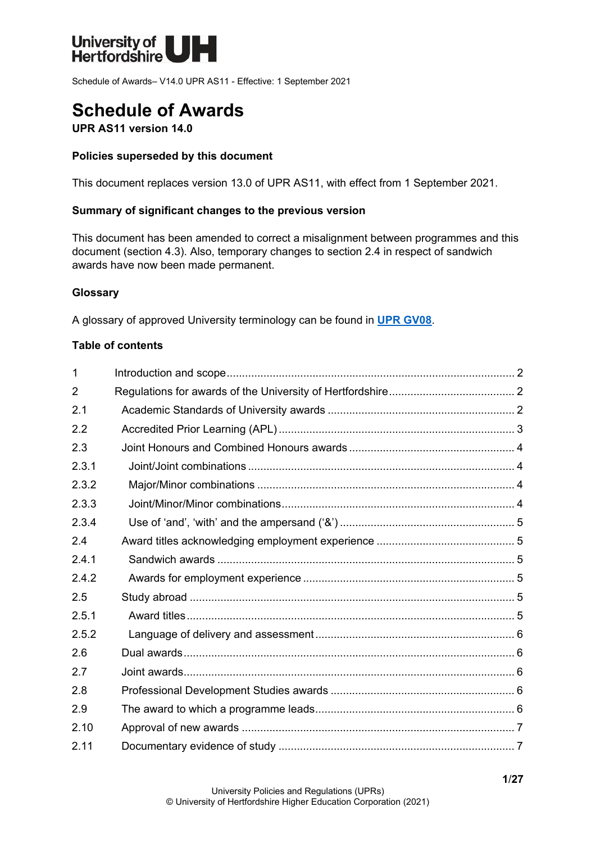

Schedule of Awards– V14.0 UPR AS11 - Effective: 1 September 2021

# **Schedule of Awards**

**UPR AS11 version 14.0**

#### **Policies superseded by this document**

This document replaces version 13.0 of UPR AS11, with effect from 1 September 2021.

#### **Summary of significant changes to the previous version**

This document has been amended to correct a misalignment between programmes and this document (section 4.3). Also, temporary changes to section 2.4 in respect of sandwich awards have now been made permanent.

#### **Glossary**

A glossary of approved University terminology can be found in **[UPR GV08](https://www.herts.ac.uk/__data/assets/pdf_file/0020/233057/GV08-Glossary-of-Terminology.pdf)**.

#### **Table of contents**

| $\mathbf{1}$   |  |
|----------------|--|
| $\overline{2}$ |  |
| 2.1            |  |
| 2.2            |  |
| 2.3            |  |
| 2.3.1          |  |
| 2.3.2          |  |
| 2.3.3          |  |
| 2.3.4          |  |
| 2.4            |  |
| 2.4.1          |  |
| 2.4.2          |  |
| 2.5            |  |
| 2.5.1          |  |
| 2.5.2          |  |
| 2.6            |  |
| 2.7            |  |
| 2.8            |  |
| 2.9            |  |
| 2.10           |  |
| 2.11           |  |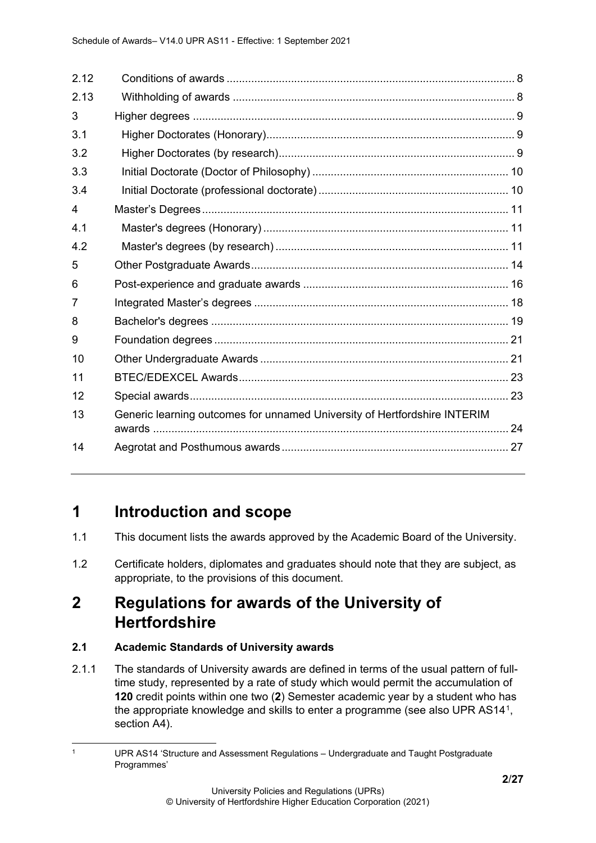| 2.12 |                                                                           |  |
|------|---------------------------------------------------------------------------|--|
| 2.13 |                                                                           |  |
| 3    |                                                                           |  |
| 3.1  |                                                                           |  |
| 3.2  |                                                                           |  |
| 3.3  |                                                                           |  |
| 3.4  |                                                                           |  |
| 4    |                                                                           |  |
| 4.1  |                                                                           |  |
| 4.2  |                                                                           |  |
| 5    |                                                                           |  |
| 6    |                                                                           |  |
| 7    |                                                                           |  |
| 8    |                                                                           |  |
| 9    |                                                                           |  |
| 10   |                                                                           |  |
| 11   |                                                                           |  |
| 12   |                                                                           |  |
| 13   | Generic learning outcomes for unnamed University of Hertfordshire INTERIM |  |
| 14   |                                                                           |  |

# <span id="page-1-0"></span>**1 Introduction and scope**

- 1.1 This document lists the awards approved by the Academic Board of the University.
- 1.2 Certificate holders, diplomates and graduates should note that they are subject, as appropriate, to the provisions of this document.

# <span id="page-1-1"></span>**2 Regulations for awards of the University of Hertfordshire**

#### <span id="page-1-2"></span>**2.1 Academic Standards of University awards**

2.1.1 The standards of University awards are defined in terms of the usual pattern of fulltime study, represented by a rate of study which would permit the accumulation of **120** credit points within one two (**2**) Semester academic year by a student who has the appropriate knowledge and skills to enter a programme (see also UPR AS14[1,](#page-1-3) section A4).

<span id="page-1-3"></span><sup>1</sup> UPR AS14 'Structure and Assessment Regulations – Undergraduate and Taught Postgraduate Programmes'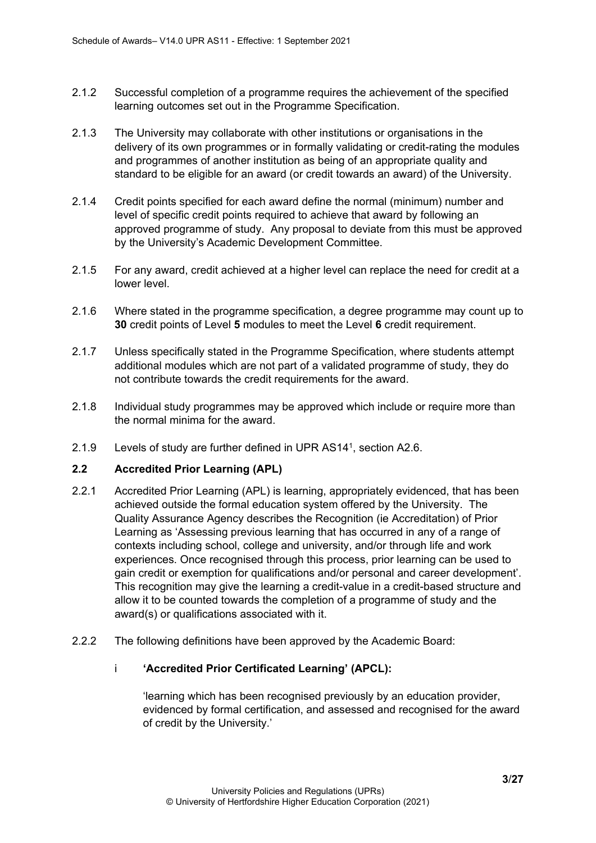- 2.1.2 Successful completion of a programme requires the achievement of the specified learning outcomes set out in the Programme Specification.
- 2.1.3 The University may collaborate with other institutions or organisations in the delivery of its own programmes or in formally validating or credit-rating the modules and programmes of another institution as being of an appropriate quality and standard to be eligible for an award (or credit towards an award) of the University.
- 2.1.4 Credit points specified for each award define the normal (minimum) number and level of specific credit points required to achieve that award by following an approved programme of study. Any proposal to deviate from this must be approved by the University's Academic Development Committee.
- 2.1.5 For any award, credit achieved at a higher level can replace the need for credit at a lower level.
- 2.1.6 Where stated in the programme specification, a degree programme may count up to **30** credit points of Level **5** modules to meet the Level **6** credit requirement.
- 2.1.7 Unless specifically stated in the Programme Specification, where students attempt additional modules which are not part of a validated programme of study, they do not contribute towards the credit requirements for the award.
- 2.1.8 Individual study programmes may be approved which include or require more than the normal minima for the award.
- 2.1.9 Levels of study are further defined in UPR AS141, section A2.6.

#### <span id="page-2-0"></span>**2.2 Accredited Prior Learning (APL)**

- 2.2.1 Accredited Prior Learning (APL) is learning, appropriately evidenced, that has been achieved outside the formal education system offered by the University. The Quality Assurance Agency describes the Recognition (ie Accreditation) of Prior Learning as 'Assessing previous learning that has occurred in any of a range of contexts including school, college and university, and/or through life and work experiences. Once recognised through this process, prior learning can be used to gain credit or exemption for qualifications and/or personal and career development'. This recognition may give the learning a credit-value in a credit-based structure and allow it to be counted towards the completion of a programme of study and the award(s) or qualifications associated with it.
- 2.2.2 The following definitions have been approved by the Academic Board:

#### i **'Accredited Prior Certificated Learning' (APCL):**

'learning which has been recognised previously by an education provider, evidenced by formal certification, and assessed and recognised for the award of credit by the University.'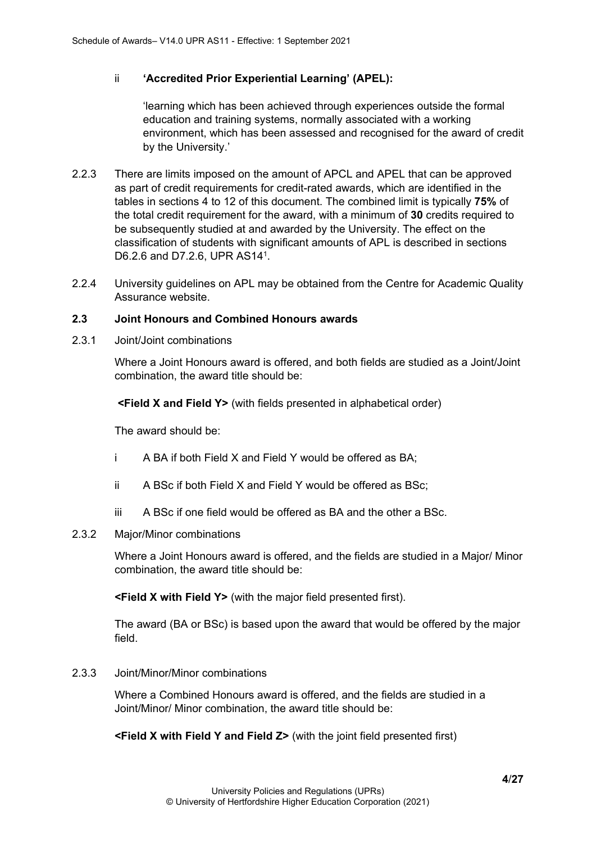#### ii **'Accredited Prior Experiential Learning' (APEL):**

'learning which has been achieved through experiences outside the formal education and training systems, normally associated with a working environment, which has been assessed and recognised for the award of credit by the University.'

- 2.2.3 There are limits imposed on the amount of APCL and APEL that can be approved as part of credit requirements for credit-rated awards, which are identified in the tables in sections 4 to 12 of this document. The combined limit is typically **75%** of the total credit requirement for the award, with a minimum of **30** credits required to be subsequently studied at and awarded by the University. The effect on the classification of students with significant amounts of APL is described in sections D6.2.6 and D7.2.6, UPR AS141.
- 2.2.4 University guidelines on APL may be obtained from the Centre for Academic Quality Assurance website.

#### <span id="page-3-0"></span>**2.3 Joint Honours and Combined Honours awards**

<span id="page-3-1"></span>2.3.1 Joint/Joint combinations

Where a Joint Honours award is offered, and both fields are studied as a Joint/Joint combination, the award title should be:

**<Field X and Field Y>** (with fields presented in alphabetical order)

The award should be:

- i A BA if both Field X and Field Y would be offered as BA;
- ii A BSc if both Field X and Field Y would be offered as BSc;
- iii A BSc if one field would be offered as BA and the other a BSc.

#### <span id="page-3-2"></span>2.3.2 Major/Minor combinations

Where a Joint Honours award is offered, and the fields are studied in a Major/ Minor combination, the award title should be:

**<Field X with Field Y>** (with the major field presented first).

The award (BA or BSc) is based upon the award that would be offered by the major field.

#### <span id="page-3-3"></span>2.3.3 Joint/Minor/Minor combinations

Where a Combined Honours award is offered, and the fields are studied in a Joint/Minor/ Minor combination, the award title should be:

**<Field X with Field Y and Field Z>** (with the joint field presented first)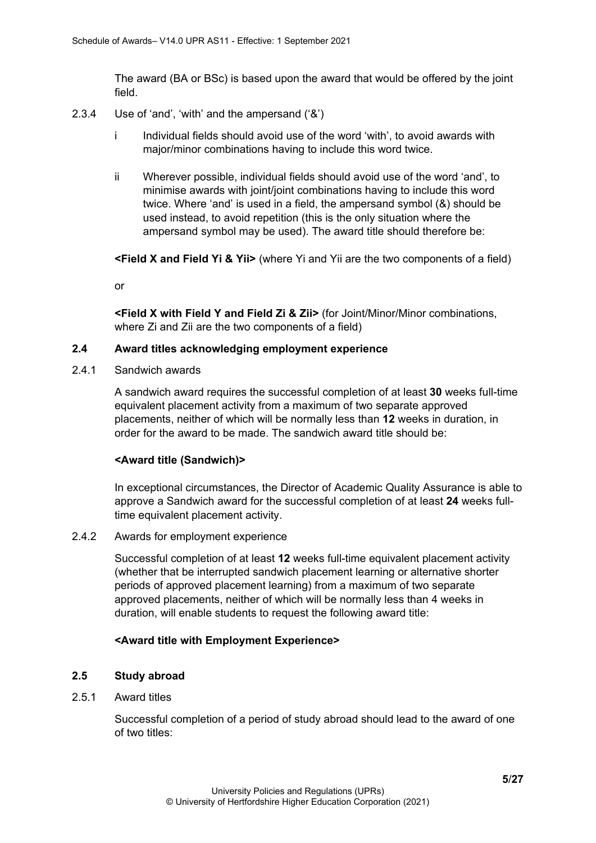The award (BA or BSc) is based upon the award that would be offered by the joint field.

- <span id="page-4-0"></span>2.3.4 Use of 'and', 'with' and the ampersand ('&')
	- i Individual fields should avoid use of the word 'with', to avoid awards with major/minor combinations having to include this word twice.
	- ii Wherever possible, individual fields should avoid use of the word 'and', to minimise awards with joint/joint combinations having to include this word twice. Where 'and' is used in a field, the ampersand symbol (&) should be used instead, to avoid repetition (this is the only situation where the ampersand symbol may be used). The award title should therefore be:

**<Field X and Field Yi & Yii>** (where Yi and Yii are the two components of a field)

or

**<Field X with Field Y and Field Zi & Zii>** (for Joint/Minor/Minor combinations, where Zi and Zii are the two components of a field)

#### <span id="page-4-1"></span>**2.4 Award titles acknowledging employment experience**

<span id="page-4-2"></span>2.4.1 Sandwich awards

A sandwich award requires the successful completion of at least **30** weeks full-time equivalent placement activity from a maximum of two separate approved placements, neither of which will be normally less than **12** weeks in duration, in order for the award to be made. The sandwich award title should be:

#### **<Award title (Sandwich)>**

In exceptional circumstances, the Director of Academic Quality Assurance is able to approve a Sandwich award for the successful completion of at least **24** weeks fulltime equivalent placement activity.

#### <span id="page-4-3"></span>2.4.2 Awards for employment experience

Successful completion of at least **12** weeks full-time equivalent placement activity (whether that be interrupted sandwich placement learning or alternative shorter periods of approved placement learning) from a maximum of two separate approved placements, neither of which will be normally less than 4 weeks in duration, will enable students to request the following award title:

#### **<Award title with Employment Experience>**

#### <span id="page-4-4"></span>**2.5 Study abroad**

#### <span id="page-4-5"></span>2.5.1 Award titles

Successful completion of a period of study abroad should lead to the award of one of two titles: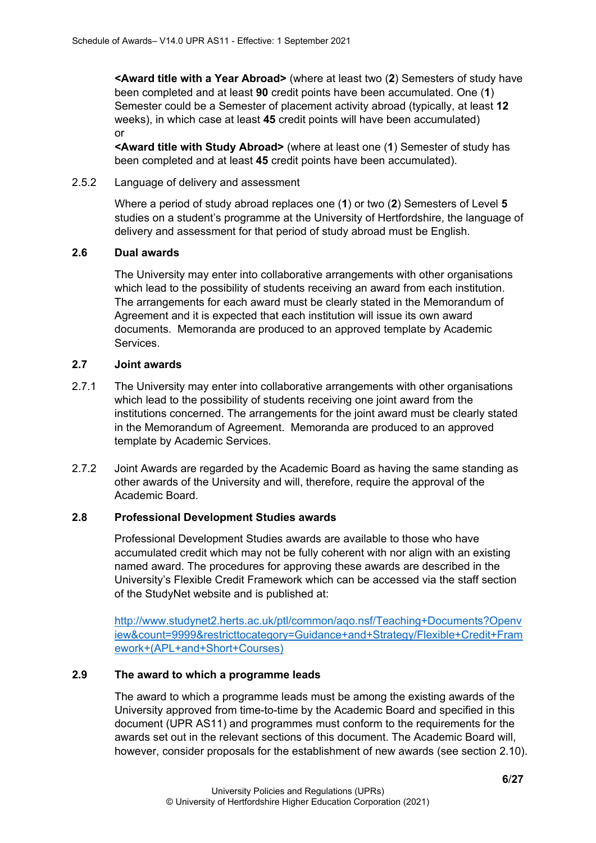**<Award title with a Year Abroad>** (where at least two (**2**) Semesters of study have been completed and at least **90** credit points have been accumulated. One (**1**) Semester could be a Semester of placement activity abroad (typically, at least **12** weeks), in which case at least **45** credit points will have been accumulated) or

**<Award title with Study Abroad>** (where at least one (**1**) Semester of study has been completed and at least **45** credit points have been accumulated).

#### <span id="page-5-0"></span>2.5.2 Language of delivery and assessment

Where a period of study abroad replaces one (**1**) or two (**2**) Semesters of Level **5** studies on a student's programme at the University of Hertfordshire, the language of delivery and assessment for that period of study abroad must be English.

#### <span id="page-5-1"></span>**2.6 Dual awards**

The University may enter into collaborative arrangements with other organisations which lead to the possibility of students receiving an award from each institution. The arrangements for each award must be clearly stated in the Memorandum of Agreement and it is expected that each institution will issue its own award documents. Memoranda are produced to an approved template by Academic Services.

#### <span id="page-5-2"></span>**2.7 Joint awards**

- 2.7.1 The University may enter into collaborative arrangements with other organisations which lead to the possibility of students receiving one joint award from the institutions concerned. The arrangements for the joint award must be clearly stated in the Memorandum of Agreement. Memoranda are produced to an approved template by Academic Services.
- 2.7.2 Joint Awards are regarded by the Academic Board as having the same standing as other awards of the University and will, therefore, require the approval of the Academic Board.

#### <span id="page-5-3"></span>**2.8 Professional Development Studies awards**

Professional Development Studies awards are available to those who have accumulated credit which may not be fully coherent with nor align with an existing named award. The procedures for approving these awards are described in the University's Flexible Credit Framework which can be accessed via the staff section of the StudyNet website and is published at:

[http://www.studynet2.herts.ac.uk/ptl/common/aqo.nsf/Teaching+Documents?Openv](http://www.studynet2.herts.ac.uk/ptl/common/aqo.nsf/Teaching+Documents?Openview&count=9999&restricttocategory=Guidance+and+Strategy/Flexible+Credit+Framework+(APL+and+Short+Courses)) [iew&count=9999&restricttocategory=Guidance+and+Strategy/Flexible+Credit+Fram](http://www.studynet2.herts.ac.uk/ptl/common/aqo.nsf/Teaching+Documents?Openview&count=9999&restricttocategory=Guidance+and+Strategy/Flexible+Credit+Framework+(APL+and+Short+Courses)) [ework+\(APL+and+Short+Courses\)](http://www.studynet2.herts.ac.uk/ptl/common/aqo.nsf/Teaching+Documents?Openview&count=9999&restricttocategory=Guidance+and+Strategy/Flexible+Credit+Framework+(APL+and+Short+Courses))

#### <span id="page-5-4"></span>**2.9 The award to which a programme leads**

The award to which a programme leads must be among the existing awards of the University approved from time-to-time by the Academic Board and specified in this document (UPR AS11) and programmes must conform to the requirements for the awards set out in the relevant sections of this document. The Academic Board will, however, consider proposals for the establishment of new awards (see section 2.10).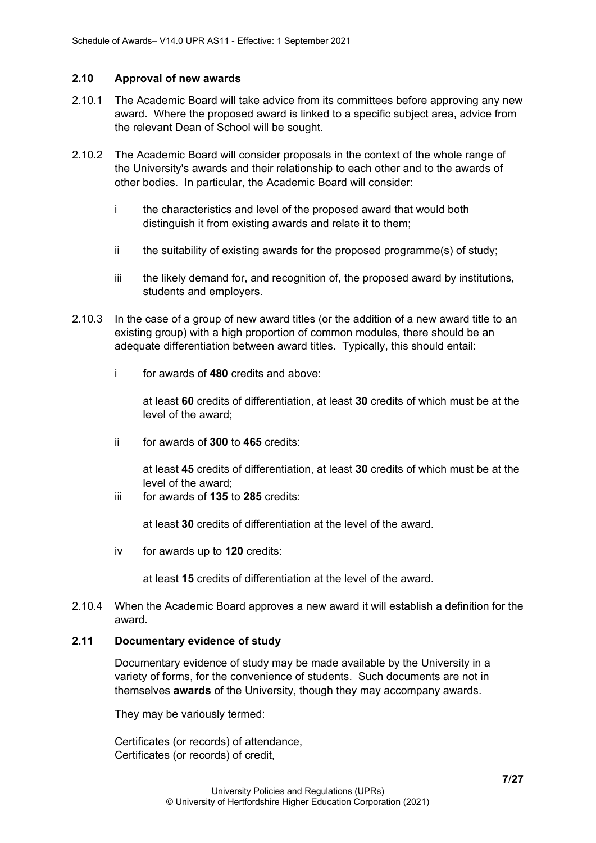#### <span id="page-6-0"></span>**2.10 Approval of new awards**

- 2.10.1 The Academic Board will take advice from its committees before approving any new award. Where the proposed award is linked to a specific subject area, advice from the relevant Dean of School will be sought.
- 2.10.2 The Academic Board will consider proposals in the context of the whole range of the University's awards and their relationship to each other and to the awards of other bodies. In particular, the Academic Board will consider:
	- i the characteristics and level of the proposed award that would both distinguish it from existing awards and relate it to them;
	- ii the suitability of existing awards for the proposed programme(s) of study;
	- iii the likely demand for, and recognition of, the proposed award by institutions, students and employers.
- 2.10.3 In the case of a group of new award titles (or the addition of a new award title to an existing group) with a high proportion of common modules, there should be an adequate differentiation between award titles. Typically, this should entail:
	- i for awards of **480** credits and above:

at least **60** credits of differentiation, at least **30** credits of which must be at the level of the award;

ii for awards of **300** to **465** credits:

at least **45** credits of differentiation, at least **30** credits of which must be at the level of the award;

iii for awards of **135** to **285** credits:

at least **30** credits of differentiation at the level of the award.

iv for awards up to **120** credits:

at least **15** credits of differentiation at the level of the award.

2.10.4 When the Academic Board approves a new award it will establish a definition for the award.

#### <span id="page-6-1"></span>**2.11 Documentary evidence of study**

Documentary evidence of study may be made available by the University in a variety of forms, for the convenience of students. Such documents are not in themselves **awards** of the University, though they may accompany awards.

They may be variously termed:

Certificates (or records) of attendance, Certificates (or records) of credit,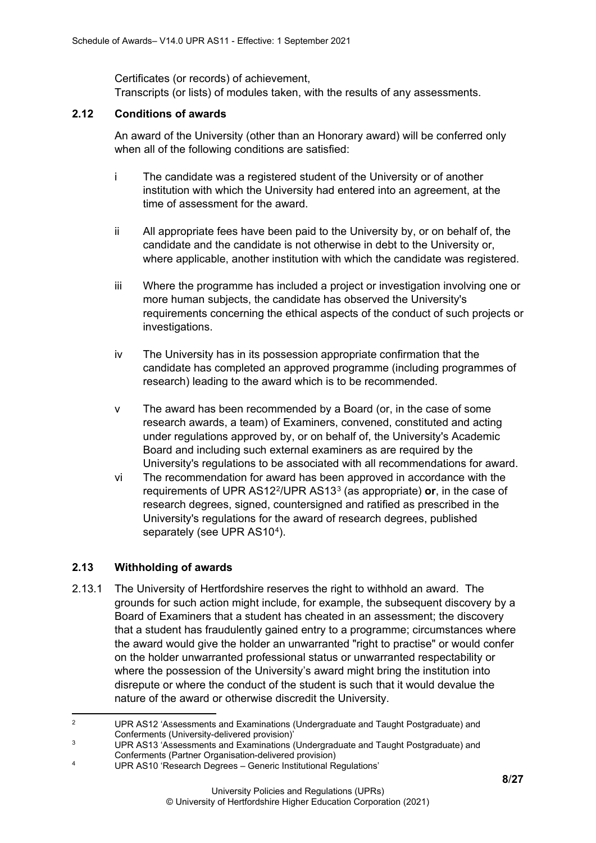Certificates (or records) of achievement, Transcripts (or lists) of modules taken, with the results of any assessments.

#### <span id="page-7-0"></span>**2.12 Conditions of awards**

An award of the University (other than an Honorary award) will be conferred only when all of the following conditions are satisfied:

- i The candidate was a registered student of the University or of another institution with which the University had entered into an agreement, at the time of assessment for the award.
- ii All appropriate fees have been paid to the University by, or on behalf of, the candidate and the candidate is not otherwise in debt to the University or, where applicable, another institution with which the candidate was registered.
- iii Where the programme has included a project or investigation involving one or more human subjects, the candidate has observed the University's requirements concerning the ethical aspects of the conduct of such projects or investigations.
- iv The University has in its possession appropriate confirmation that the candidate has completed an approved programme (including programmes of research) leading to the award which is to be recommended.
- v The award has been recommended by a Board (or, in the case of some research awards, a team) of Examiners, convened, constituted and acting under regulations approved by, or on behalf of, the University's Academic Board and including such external examiners as are required by the University's regulations to be associated with all recommendations for award.
- vi The recommendation for award has been approved in accordance with the requirements of UPR AS12[2](#page-7-2)/UPR AS13[3](#page-7-3) (as appropriate) **or**, in the case of research degrees, signed, countersigned and ratified as prescribed in the University's regulations for the award of research degrees, published separately (see UPR AS10<sup>4</sup>).

#### <span id="page-7-1"></span>**2.13 Withholding of awards**

2.13.1 The University of Hertfordshire reserves the right to withhold an award. The grounds for such action might include, for example, the subsequent discovery by a Board of Examiners that a student has cheated in an assessment; the discovery that a student has fraudulently gained entry to a programme; circumstances where the award would give the holder an unwarranted "right to practise" or would confer on the holder unwarranted professional status or unwarranted respectability or where the possession of the University's award might bring the institution into disrepute or where the conduct of the student is such that it would devalue the nature of the award or otherwise discredit the University.

<span id="page-7-2"></span><sup>2</sup> UPR AS12 'Assessments and Examinations (Undergraduate and Taught Postgraduate) and Conferments (University-delivered provision)'

<span id="page-7-3"></span><sup>3</sup> UPR AS13 'Assessments and Examinations (Undergraduate and Taught Postgraduate) and

Conferments (Partner Organisation-delivered provision)

<span id="page-7-4"></span><sup>4</sup> UPR AS10 'Research Degrees – Generic Institutional Regulations'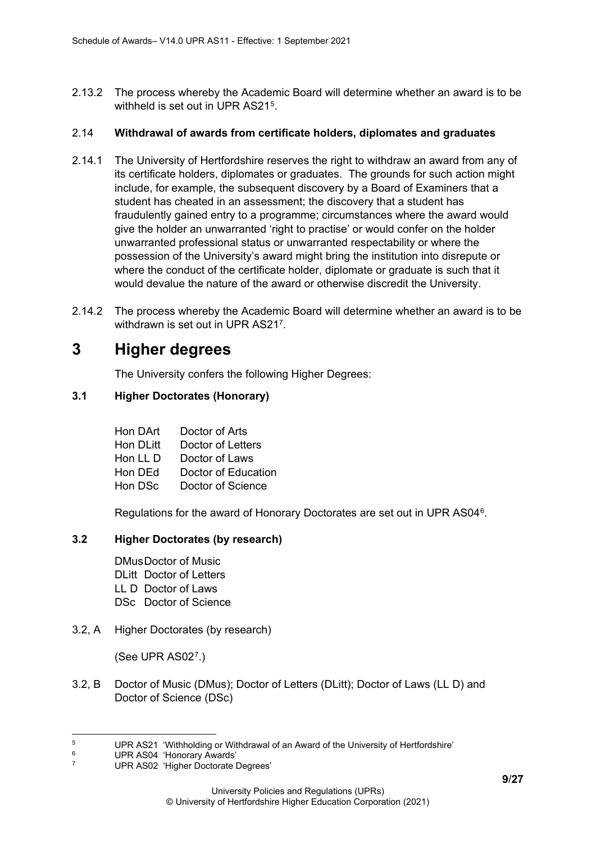2.13.2 The process whereby the Academic Board will determine whether an award is to be withheld is set out in UPR AS21<sup>[5](#page-8-3)</sup>.

#### 2.14 **Withdrawal of awards from certificate holders, diplomates and graduates**

- 2.14.1 The University of Hertfordshire reserves the right to withdraw an award from any of its certificate holders, diplomates or graduates. The grounds for such action might include, for example, the subsequent discovery by a Board of Examiners that a student has cheated in an assessment; the discovery that a student has fraudulently gained entry to a programme; circumstances where the award would give the holder an unwarranted 'right to practise' or would confer on the holder unwarranted professional status or unwarranted respectability or where the possession of the University's award might bring the institution into disrepute or where the conduct of the certificate holder, diplomate or graduate is such that it would devalue the nature of the award or otherwise discredit the University.
- 2.14.2 The process whereby the Academic Board will determine whether an award is to be withdrawn is set out in UPR AS217.

### <span id="page-8-0"></span>**3 Higher degrees**

The University confers the following Higher Degrees:

#### <span id="page-8-1"></span>**3.1 Higher Doctorates (Honorary)**

| Hon DArt  | Doctor of Arts      |
|-----------|---------------------|
| Hon DLitt | Doctor of Letters   |
| Hon LL D  | Doctor of Laws      |
| Hon DEd   | Doctor of Education |
| Hon DSc   | Doctor of Science   |

Regulations for the award of Honorary Doctorates are set out in UPR AS04[6.](#page-8-4)

#### <span id="page-8-2"></span>**3.2 Higher Doctorates (by research)**

DMusDoctor of Music DLitt Doctor of Letters LL D Doctor of Laws DSc Doctor of Science

3.2, A Higher Doctorates (by research)

(See UPR AS02[7](#page-8-5).)

3.2, B Doctor of Music (DMus); Doctor of Letters (DLitt); Doctor of Laws (LL D) and Doctor of Science (DSc)

<span id="page-8-3"></span><sup>&</sup>lt;sup>5</sup> UPR AS21 'Withholding or Withdrawal of an Award of the University of Hertfordshire'<br>
UPR AS04 'Honorary Awards'<br>
<sup>7</sup>

<span id="page-8-5"></span><span id="page-8-4"></span>

UPR AS02 'Higher Doctorate Degrees'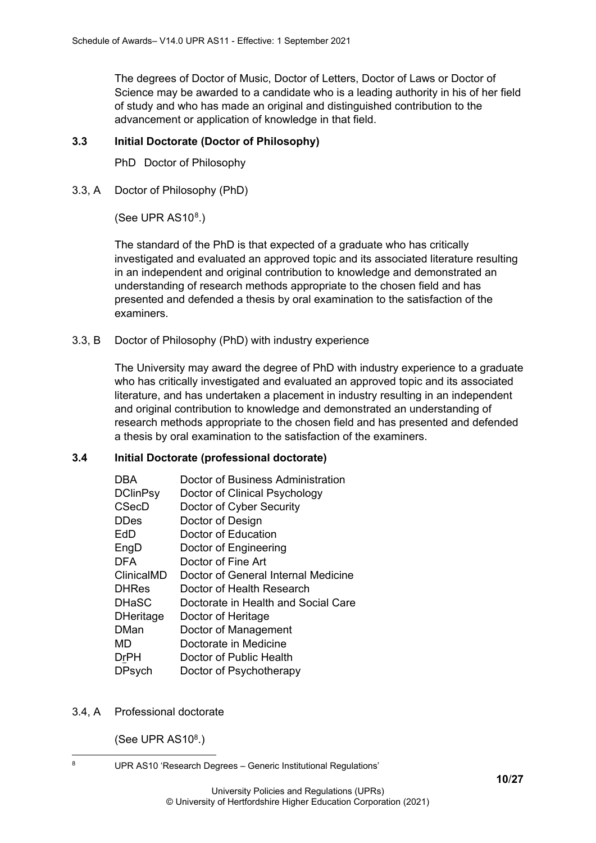The degrees of Doctor of Music, Doctor of Letters, Doctor of Laws or Doctor of Science may be awarded to a candidate who is a leading authority in his of her field of study and who has made an original and distinguished contribution to the advancement or application of knowledge in that field.

#### <span id="page-9-0"></span>**3.3 Initial Doctorate (Doctor of Philosophy)**

PhD Doctor of Philosophy

3.3, A Doctor of Philosophy (PhD)

(See UPR  $AS10<sup>8</sup>$  $AS10<sup>8</sup>$  $AS10<sup>8</sup>$ .)

The standard of the PhD is that expected of a graduate who has critically investigated and evaluated an approved topic and its associated literature resulting in an independent and original contribution to knowledge and demonstrated an understanding of research methods appropriate to the chosen field and has presented and defended a thesis by oral examination to the satisfaction of the examiners.

3.3, B Doctor of Philosophy (PhD) with industry experience

The University may award the degree of PhD with industry experience to a graduate who has critically investigated and evaluated an approved topic and its associated literature, and has undertaken a placement in industry resulting in an independent and original contribution to knowledge and demonstrated an understanding of research methods appropriate to the chosen field and has presented and defended a thesis by oral examination to the satisfaction of the examiners.

#### <span id="page-9-1"></span>**3.4 Initial Doctorate (professional doctorate)**

| DBA              | Doctor of Business Administration   |
|------------------|-------------------------------------|
| <b>DClinPsy</b>  | Doctor of Clinical Psychology       |
| <b>CSecD</b>     | Doctor of Cyber Security            |
| <b>DDes</b>      | Doctor of Design                    |
| EdD              | Doctor of Education                 |
| EngD             | Doctor of Engineering               |
| <b>DFA</b>       | Doctor of Fine Art                  |
| ClinicalMD       | Doctor of General Internal Medicine |
| <b>DHRes</b>     | Doctor of Health Research           |
| <b>DHaSC</b>     | Doctorate in Health and Social Care |
| <b>DHeritage</b> | Doctor of Heritage                  |
| <b>DMan</b>      | Doctor of Management                |
| MD               | Doctorate in Medicine               |
| <b>DrPH</b>      | Doctor of Public Health             |
| <b>DPsych</b>    | Doctor of Psychotherapy             |
|                  |                                     |

3.4, A Professional doctorate

(See UPR AS108.)

<span id="page-9-2"></span><sup>8</sup> UPR AS10 'Research Degrees – Generic Institutional Regulations'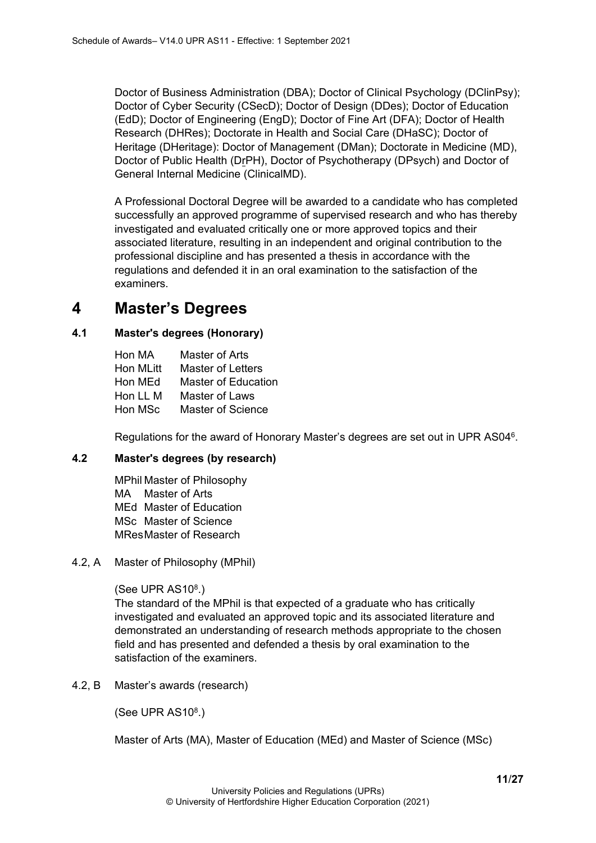Doctor of Business Administration (DBA); Doctor of Clinical Psychology (DClinPsy); Doctor of Cyber Security (CSecD); Doctor of Design (DDes); Doctor of Education (EdD); Doctor of Engineering (EngD); Doctor of Fine Art (DFA); Doctor of Health Research (DHRes); Doctorate in Health and Social Care (DHaSC); Doctor of Heritage (DHeritage): Doctor of Management (DMan); Doctorate in Medicine (MD), Doctor of Public Health (DrPH), Doctor of Psychotherapy (DPsych) and Doctor of General Internal Medicine (ClinicalMD).

A Professional Doctoral Degree will be awarded to a candidate who has completed successfully an approved programme of supervised research and who has thereby investigated and evaluated critically one or more approved topics and their associated literature, resulting in an independent and original contribution to the professional discipline and has presented a thesis in accordance with the regulations and defended it in an oral examination to the satisfaction of the examiners.

## <span id="page-10-0"></span>**4 Master's Degrees**

#### <span id="page-10-1"></span>**4.1 Master's degrees (Honorary)**

| Hon MA    | Master of Arts      |
|-----------|---------------------|
| Hon MLitt | Master of Letters   |
| Hon MEd   | Master of Education |
| Hon LL M  | Master of Laws      |
| Hon MSc   | Master of Science   |

Regulations for the award of Honorary Master's degrees are set out in UPR AS046.

#### <span id="page-10-2"></span>**4.2 Master's degrees (by research)**

MPhil Master of Philosophy MA Master of Arts MEd Master of Education MSc Master of Science MResMaster of Research

#### 4.2, A Master of Philosophy (MPhil)

#### (See UPR  $AS10<sup>8</sup>$ .)

The standard of the MPhil is that expected of a graduate who has critically investigated and evaluated an approved topic and its associated literature and demonstrated an understanding of research methods appropriate to the chosen field and has presented and defended a thesis by oral examination to the satisfaction of the examiners.

4.2, B Master's awards (research)

(See UPR AS10<sup>8</sup>.)

Master of Arts (MA), Master of Education (MEd) and Master of Science (MSc)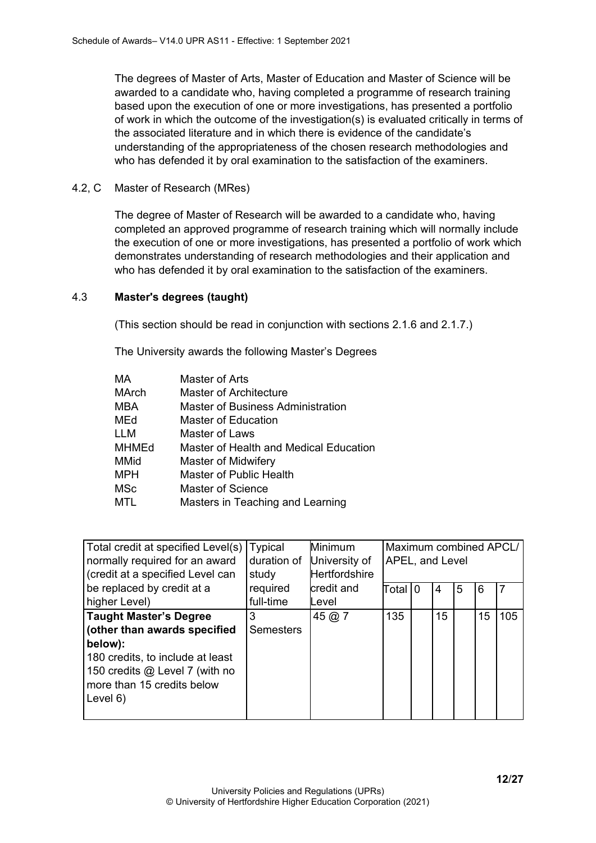The degrees of Master of Arts, Master of Education and Master of Science will be awarded to a candidate who, having completed a programme of research training based upon the execution of one or more investigations, has presented a portfolio of work in which the outcome of the investigation(s) is evaluated critically in terms of the associated literature and in which there is evidence of the candidate's understanding of the appropriateness of the chosen research methodologies and who has defended it by oral examination to the satisfaction of the examiners.

#### 4.2, C Master of Research (MRes)

The degree of Master of Research will be awarded to a candidate who, having completed an approved programme of research training which will normally include the execution of one or more investigations, has presented a portfolio of work which demonstrates understanding of research methodologies and their application and who has defended it by oral examination to the satisfaction of the examiners.

#### 4.3 **Master's degrees (taught)**

(This section should be read in conjunction with sections 2.1.6 and 2.1.7.)

The University awards the following Master's Degrees

| MA    | Master of Arts                         |
|-------|----------------------------------------|
| MArch | Master of Architecture                 |
| MBA   | Master of Business Administration      |
| MEd   | Master of Education                    |
| LLM   | Master of Laws                         |
| MHMEd | Master of Health and Medical Education |
| MMid  | Master of Midwifery                    |
| MPH   | Master of Public Health                |
| MSc   | Master of Science                      |
| MTL   | Masters in Teaching and Learning       |

| Total credit at specified Level(s)<br>normally required for an award | Typical<br>duration of | Minimum<br>University of | Maximum combined APCL/<br><b>APEL, and Level</b> |  |    |   |    |     |
|----------------------------------------------------------------------|------------------------|--------------------------|--------------------------------------------------|--|----|---|----|-----|
| (credit at a specified Level can                                     | study                  | <b>Hertfordshire</b>     |                                                  |  |    |   |    |     |
| be replaced by credit at a                                           | required               | credit and               | Total I 0                                        |  | 4  | 5 | 6  |     |
| higher Level)                                                        | full-time              | ∟evel                    |                                                  |  |    |   |    |     |
| Taught Master's Degree                                               | 3                      | 45 @ 7                   | 135                                              |  | 15 |   | 15 | 105 |
| (other than awards specified                                         | <b>Semesters</b>       |                          |                                                  |  |    |   |    |     |
| below):                                                              |                        |                          |                                                  |  |    |   |    |     |
| 180 credits, to include at least                                     |                        |                          |                                                  |  |    |   |    |     |
| 150 credits @ Level 7 (with no                                       |                        |                          |                                                  |  |    |   |    |     |
| more than 15 credits below                                           |                        |                          |                                                  |  |    |   |    |     |
| ILevel 6)                                                            |                        |                          |                                                  |  |    |   |    |     |
|                                                                      |                        |                          |                                                  |  |    |   |    |     |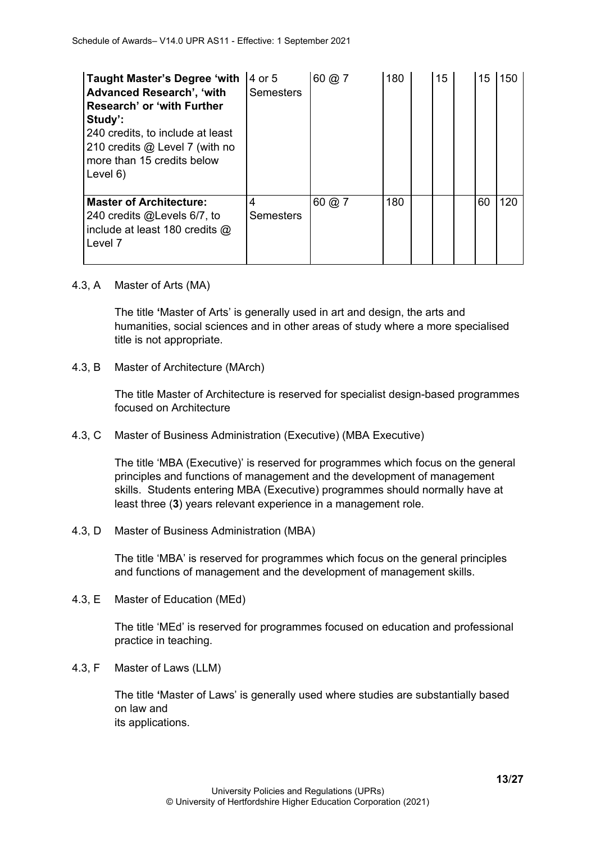| <b>Taught Master's Degree 'with</b><br><b>Advanced Research', 'with</b><br>Research' or 'with Further<br>Study':<br>240 credits, to include at least<br>210 credits @ Level 7 (with no<br>more than 15 credits below<br>Level $6)$ | 4 or 5<br><b>Semesters</b> | 60 @ 7                    | 180 | 15 | 15 | 150 |
|------------------------------------------------------------------------------------------------------------------------------------------------------------------------------------------------------------------------------------|----------------------------|---------------------------|-----|----|----|-----|
| <b>Master of Architecture:</b><br>240 credits @Levels 6/7, to<br>include at least 180 credits $@$<br>Level 7                                                                                                                       | 4<br><b>Semesters</b>      | $60 \; \textcircled{a}$ 7 | 180 |    | 60 | 120 |

4.3, A Master of Arts (MA)

The title **'**Master of Arts' is generally used in art and design, the arts and humanities, social sciences and in other areas of study where a more specialised title is not appropriate.

4.3, B Master of Architecture (MArch)

The title Master of Architecture is reserved for specialist design-based programmes focused on Architecture

4.3, C Master of Business Administration (Executive) (MBA Executive)

The title 'MBA (Executive)' is reserved for programmes which focus on the general principles and functions of management and the development of management skills. Students entering MBA (Executive) programmes should normally have at least three (**3**) years relevant experience in a management role.

4.3, D Master of Business Administration (MBA)

The title 'MBA' is reserved for programmes which focus on the general principles and functions of management and the development of management skills.

4.3, E Master of Education (MEd)

The title 'MEd' is reserved for programmes focused on education and professional practice in teaching.

4.3, F Master of Laws (LLM)

The title **'**Master of Laws' is generally used where studies are substantially based on law and its applications.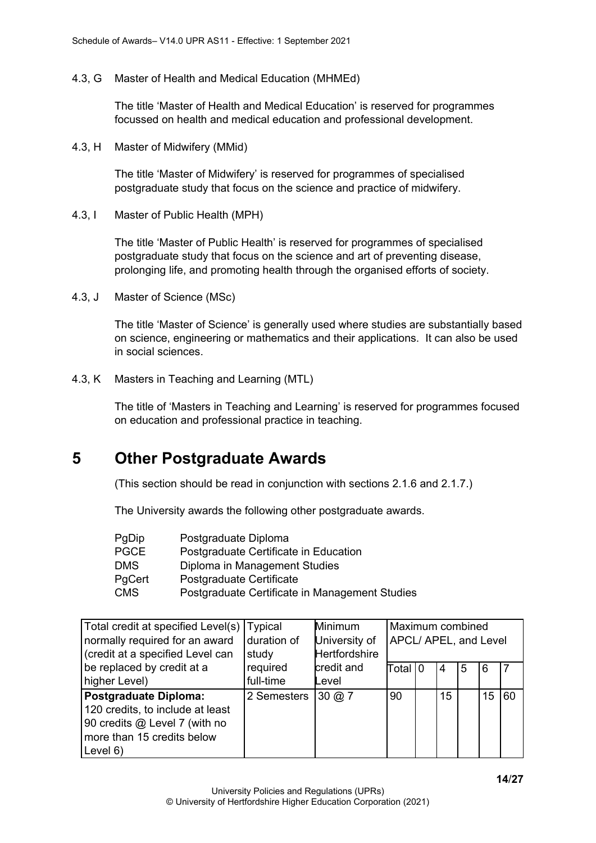4.3, G Master of Health and Medical Education (MHMEd)

The title 'Master of Health and Medical Education' is reserved for programmes focussed on health and medical education and professional development.

4.3, H Master of Midwifery (MMid)

The title 'Master of Midwifery' is reserved for programmes of specialised postgraduate study that focus on the science and practice of midwifery.

4.3, I Master of Public Health (MPH)

The title 'Master of Public Health' is reserved for programmes of specialised postgraduate study that focus on the science and art of preventing disease, prolonging life, and promoting health through the organised efforts of society.

4.3, J Master of Science (MSc)

The title 'Master of Science' is generally used where studies are substantially based on science, engineering or mathematics and their applications. It can also be used in social sciences.

4.3, K Masters in Teaching and Learning (MTL)

The title of 'Masters in Teaching and Learning' is reserved for programmes focused on education and professional practice in teaching.

### <span id="page-13-0"></span>**5 Other Postgraduate Awards**

(This section should be read in conjunction with sections 2.1.6 and 2.1.7.)

The University awards the following other postgraduate awards.

| PgDip      | Postgraduate Diploma                           |
|------------|------------------------------------------------|
| PGCE       | Postgraduate Certificate in Education          |
| DMS.       | Diploma in Management Studies                  |
| PgCert     | Postgraduate Certificate                       |
| <b>CMS</b> | Postgraduate Certificate in Management Studies |

| Total credit at specified Level(s)   Typical |             | Minimum                   | Maximum combined      |  |    |   |    |    |
|----------------------------------------------|-------------|---------------------------|-----------------------|--|----|---|----|----|
| normally required for an award               | duration of | University of             | APCL/ APEL, and Level |  |    |   |    |    |
| (credit at a specified Level can             | study       | <b>Hertfordshire</b>      |                       |  |    |   |    |    |
| be replaced by credit at a                   | required    | credit and                | Total I0              |  | 4  | 5 | 6  |    |
| higher Level)                                | full-time   | Level                     |                       |  |    |   |    |    |
| <b>Postgraduate Diploma:</b>                 | 2 Semesters | $30 \, \textcircled{a}$ 7 | 90                    |  | 15 |   | 15 | 60 |
| 120 credits, to include at least             |             |                           |                       |  |    |   |    |    |
| 90 credits @ Level 7 (with no                |             |                           |                       |  |    |   |    |    |
| more than 15 credits below                   |             |                           |                       |  |    |   |    |    |
| Level $6)$                                   |             |                           |                       |  |    |   |    |    |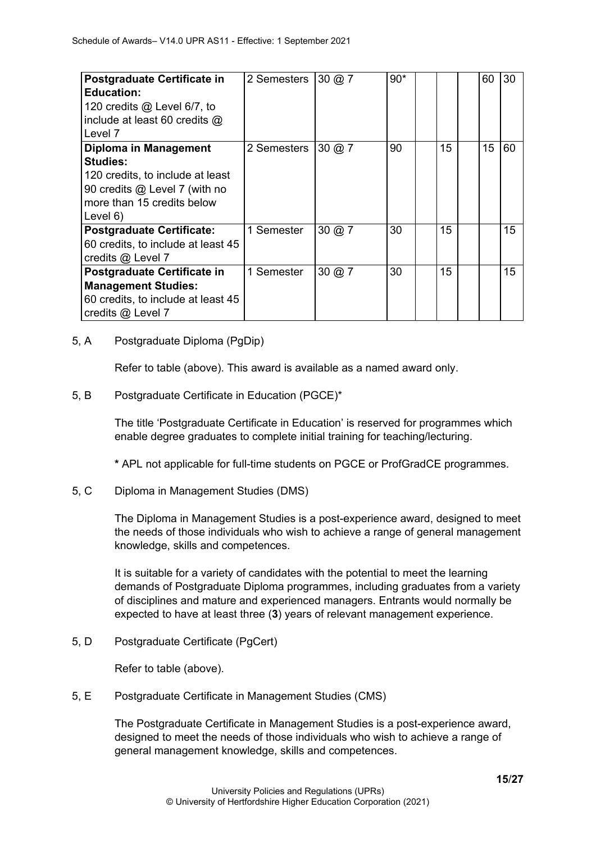| Postgraduate Certificate in<br><b>Education:</b><br>120 credits $@$ Level 6/7, to<br>include at least 60 credits @<br>Level 7 | 2 Semesters | $30 \, \textcircled{a}$ 7 | $90*$ |    | 60 | 30 |
|-------------------------------------------------------------------------------------------------------------------------------|-------------|---------------------------|-------|----|----|----|
| Diploma in Management                                                                                                         | 2 Semesters | $30 \text{ @ } 7$         | 90    | 15 | 15 | 60 |
| <b>Studies:</b>                                                                                                               |             |                           |       |    |    |    |
| 120 credits, to include at least                                                                                              |             |                           |       |    |    |    |
| 90 credits @ Level 7 (with no                                                                                                 |             |                           |       |    |    |    |
| more than 15 credits below                                                                                                    |             |                           |       |    |    |    |
| Level 6)                                                                                                                      |             |                           |       |    |    |    |
| <b>Postgraduate Certificate:</b>                                                                                              | 1 Semester  | $30 \; \textcircled{a}$ 7 | 30    | 15 |    | 15 |
| 60 credits, to include at least 45                                                                                            |             |                           |       |    |    |    |
| credits @ Level 7                                                                                                             |             |                           |       |    |    |    |
| Postgraduate Certificate in                                                                                                   | 1 Semester  | $30 \; (a) 7$             | 30    | 15 |    | 15 |
| <b>Management Studies:</b>                                                                                                    |             |                           |       |    |    |    |
| 60 credits, to include at least 45                                                                                            |             |                           |       |    |    |    |
| credits @ Level 7                                                                                                             |             |                           |       |    |    |    |

#### 5, A Postgraduate Diploma (PgDip)

Refer to table (above). This award is available as a named award only.

#### 5, B Postgraduate Certificate in Education (PGCE)\*

The title 'Postgraduate Certificate in Education' is reserved for programmes which enable degree graduates to complete initial training for teaching/lecturing.

**\*** APL not applicable for full-time students on PGCE or ProfGradCE programmes.

#### 5, C Diploma in Management Studies (DMS)

The Diploma in Management Studies is a post-experience award, designed to meet the needs of those individuals who wish to achieve a range of general management knowledge, skills and competences.

It is suitable for a variety of candidates with the potential to meet the learning demands of Postgraduate Diploma programmes, including graduates from a variety of disciplines and mature and experienced managers. Entrants would normally be expected to have at least three (**3**) years of relevant management experience.

5, D Postgraduate Certificate (PgCert)

Refer to table (above).

5, E Postgraduate Certificate in Management Studies (CMS)

The Postgraduate Certificate in Management Studies is a post-experience award, designed to meet the needs of those individuals who wish to achieve a range of general management knowledge, skills and competences.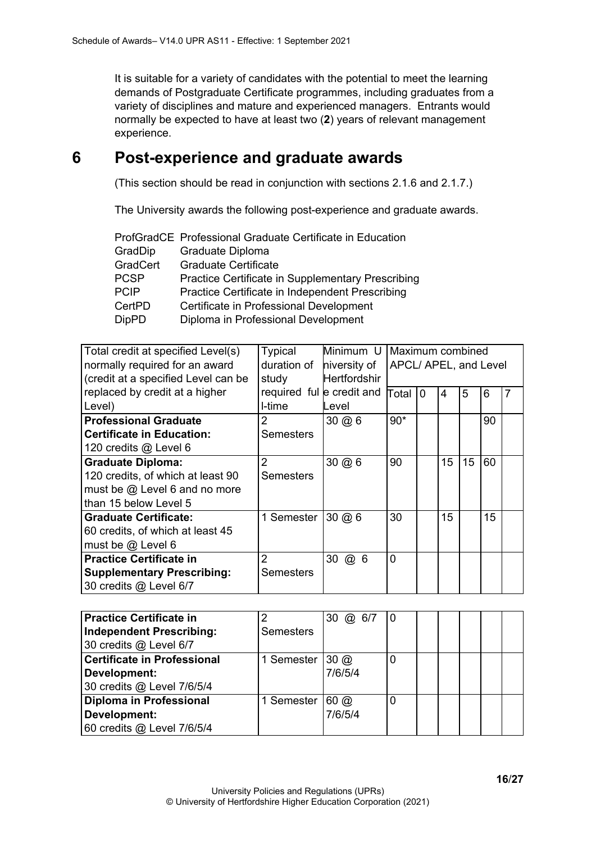It is suitable for a variety of candidates with the potential to meet the learning demands of Postgraduate Certificate programmes, including graduates from a variety of disciplines and mature and experienced managers. Entrants would normally be expected to have at least two (**2**) years of relevant management experience.

## <span id="page-15-0"></span>**6 Post-experience and graduate awards**

(This section should be read in conjunction with sections 2.1.6 and 2.1.7.)

The University awards the following post-experience and graduate awards.

|              | ProfGradCE Professional Graduate Certificate in Education |
|--------------|-----------------------------------------------------------|
| GradDip      | Graduate Diploma                                          |
| GradCert     | <b>Graduate Certificate</b>                               |
| <b>PCSP</b>  | <b>Practice Certificate in Supplementary Prescribing</b>  |
| <b>PCIP</b>  | Practice Certificate in Independent Prescribing           |
| CertPD       | Certificate in Professional Development                   |
| <b>DipPD</b> | Diploma in Professional Development                       |

| Total credit at specified Level(s)<br>normally required for an award<br>(credit at a specified Level can be | <b>Typical</b><br>duration of<br>study | Minimum U<br>niversity of<br><b>Hertfordshir</b> | Maximum combined<br>APCL/ APEL, and Level |              |    |    |    |  |
|-------------------------------------------------------------------------------------------------------------|----------------------------------------|--------------------------------------------------|-------------------------------------------|--------------|----|----|----|--|
| replaced by credit at a higher<br>Level)                                                                    | required ful e credit and<br>I-time    | Level                                            | Total                                     | <sup>0</sup> | 4  | 5  | 6  |  |
| <b>Professional Graduate</b>                                                                                | $\overline{2}$                         | $30 \ (20 \ 6)$                                  | $90*$                                     |              |    |    | 90 |  |
| <b>Certificate in Education:</b>                                                                            | <b>Semesters</b>                       |                                                  |                                           |              |    |    |    |  |
| 120 credits @ Level 6                                                                                       |                                        |                                                  |                                           |              |    |    |    |  |
| <b>Graduate Diploma:</b>                                                                                    | $\overline{2}$                         | $30 \ (a) 6$                                     | 90                                        |              | 15 | 15 | 60 |  |
| 120 credits, of which at least 90                                                                           | <b>Semesters</b>                       |                                                  |                                           |              |    |    |    |  |
| must be @ Level 6 and no more                                                                               |                                        |                                                  |                                           |              |    |    |    |  |
| than 15 below Level 5                                                                                       |                                        |                                                  |                                           |              |    |    |    |  |
| <b>Graduate Certificate:</b>                                                                                | 1 Semester $30 \omega_6$               |                                                  | 30                                        |              | 15 |    | 15 |  |
| 60 credits, of which at least 45                                                                            |                                        |                                                  |                                           |              |    |    |    |  |
| must be $@$ Level 6                                                                                         |                                        |                                                  |                                           |              |    |    |    |  |
| <b>Practice Certificate in</b>                                                                              | 2                                      | 30<br>@6                                         | $\overline{0}$                            |              |    |    |    |  |
| <b>Supplementary Prescribing:</b>                                                                           | <b>Semesters</b>                       |                                                  |                                           |              |    |    |    |  |
| 30 credits @ Level 6/7                                                                                      |                                        |                                                  |                                           |              |    |    |    |  |

| <b>Practice Certificate in</b>     |                  | 30 $@6/7$     | U |  |  |  |
|------------------------------------|------------------|---------------|---|--|--|--|
| <b>Independent Prescribing:</b>    | <b>Semesters</b> |               |   |  |  |  |
| 30 credits @ Level 6/7             |                  |               |   |  |  |  |
| <b>Certificate in Professional</b> | 1 Semester       | $30 \omega$   | 0 |  |  |  |
| Development:                       |                  | 7/6/5/4       |   |  |  |  |
| 30 credits @ Level 7/6/5/4         |                  |               |   |  |  |  |
| <b>Diploma in Professional</b>     | 1 Semester       | $60$ $\omega$ | U |  |  |  |
| Development:                       |                  | 7/6/5/4       |   |  |  |  |
| 60 credits @ Level 7/6/5/4         |                  |               |   |  |  |  |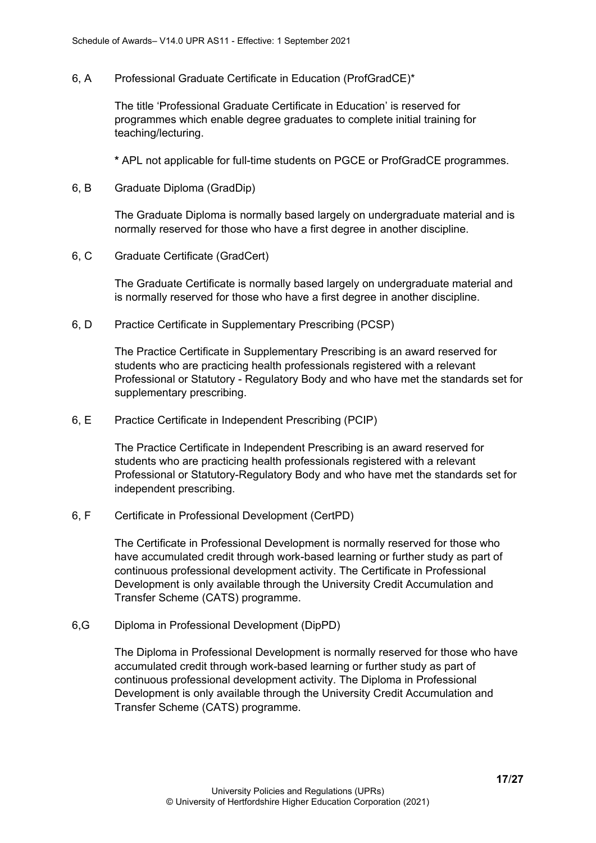6, A Professional Graduate Certificate in Education (ProfGradCE)\*

The title 'Professional Graduate Certificate in Education' is reserved for programmes which enable degree graduates to complete initial training for teaching/lecturing.

**\*** APL not applicable for full-time students on PGCE or ProfGradCE programmes.

6, B Graduate Diploma (GradDip)

The Graduate Diploma is normally based largely on undergraduate material and is normally reserved for those who have a first degree in another discipline.

6, C Graduate Certificate (GradCert)

The Graduate Certificate is normally based largely on undergraduate material and is normally reserved for those who have a first degree in another discipline.

6, D Practice Certificate in Supplementary Prescribing (PCSP)

The Practice Certificate in Supplementary Prescribing is an award reserved for students who are practicing health professionals registered with a relevant Professional or Statutory - Regulatory Body and who have met the standards set for supplementary prescribing.

6, E Practice Certificate in Independent Prescribing (PCIP)

The Practice Certificate in Independent Prescribing is an award reserved for students who are practicing health professionals registered with a relevant Professional or Statutory-Regulatory Body and who have met the standards set for independent prescribing.

6, F Certificate in Professional Development (CertPD)

The Certificate in Professional Development is normally reserved for those who have accumulated credit through work-based learning or further study as part of continuous professional development activity. The Certificate in Professional Development is only available through the University Credit Accumulation and Transfer Scheme (CATS) programme.

6,G Diploma in Professional Development (DipPD)

The Diploma in Professional Development is normally reserved for those who have accumulated credit through work-based learning or further study as part of continuous professional development activity. The Diploma in Professional Development is only available through the University Credit Accumulation and Transfer Scheme (CATS) programme.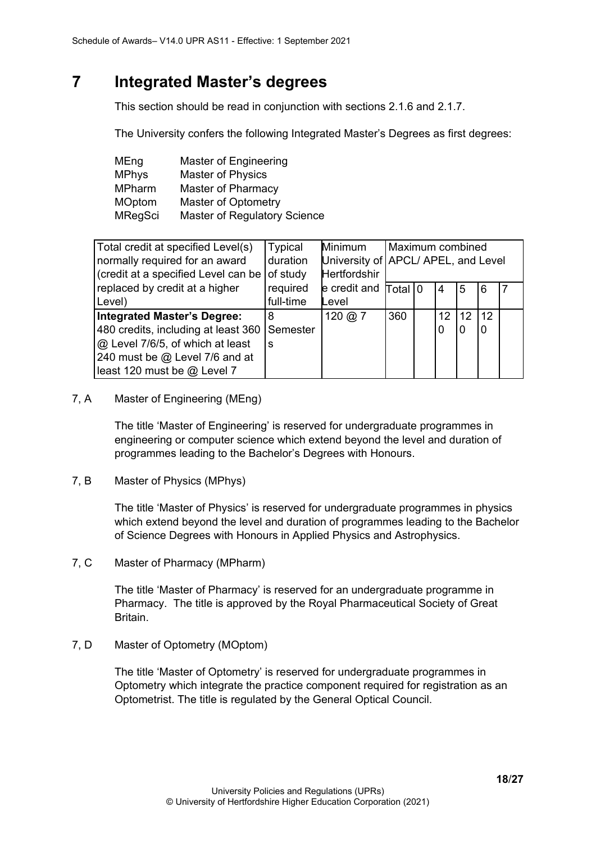# <span id="page-17-0"></span>**7 Integrated Master's degrees**

This section should be read in conjunction with sections 2.1.6 and 2.1.7.

The University confers the following Integrated Master's Degrees as first degrees:

| MEng          | Master of Engineering               |
|---------------|-------------------------------------|
| <b>MPhys</b>  | Master of Physics                   |
| <b>MPharm</b> | Master of Pharmacy                  |
| <b>MOptom</b> | <b>Master of Optometry</b>          |
| MRegSci       | <b>Master of Regulatory Science</b> |

| Total credit at specified Level(s)          | Typical   | Minimum                   |     | Maximum combined                    |                 |    |    |  |
|---------------------------------------------|-----------|---------------------------|-----|-------------------------------------|-----------------|----|----|--|
| normally required for an award              | duration  |                           |     | University of APCL/ APEL, and Level |                 |    |    |  |
| credit at a specified Level can be of study |           | <b>Hertfordshir</b>       |     |                                     |                 |    |    |  |
| replaced by credit at a higher              | required  | $e$ credit and $ Total 0$ |     |                                     | 4               | 5  | 6  |  |
| Level)                                      | full-time | Level                     |     |                                     |                 |    |    |  |
| <b>Integrated Master's Degree:</b>          | 8         | 120 @ $7$                 | 360 |                                     | 12 <sup>°</sup> | 12 | 12 |  |
| 480 credits, including at least 360         | Semester  |                           |     |                                     | 0               | 0  | 0  |  |
| @ Level 7/6/5, of which at least            | S         |                           |     |                                     |                 |    |    |  |
| 240 must be @ Level 7/6 and at              |           |                           |     |                                     |                 |    |    |  |
| least 120 must be @ Level 7                 |           |                           |     |                                     |                 |    |    |  |

7, A Master of Engineering (MEng)

The title 'Master of Engineering' is reserved for undergraduate programmes in engineering or computer science which extend beyond the level and duration of programmes leading to the Bachelor's Degrees with Honours.

7, B Master of Physics (MPhys)

The title 'Master of Physics' is reserved for undergraduate programmes in physics which extend beyond the level and duration of programmes leading to the Bachelor of Science Degrees with Honours in Applied Physics and Astrophysics.

7, C Master of Pharmacy (MPharm)

The title 'Master of Pharmacy' is reserved for an undergraduate programme in Pharmacy. The title is approved by the Royal Pharmaceutical Society of Great Britain.

7, D Master of Optometry (MOptom)

The title 'Master of Optometry' is reserved for undergraduate programmes in Optometry which integrate the practice component required for registration as an Optometrist. The title is regulated by the General Optical Council.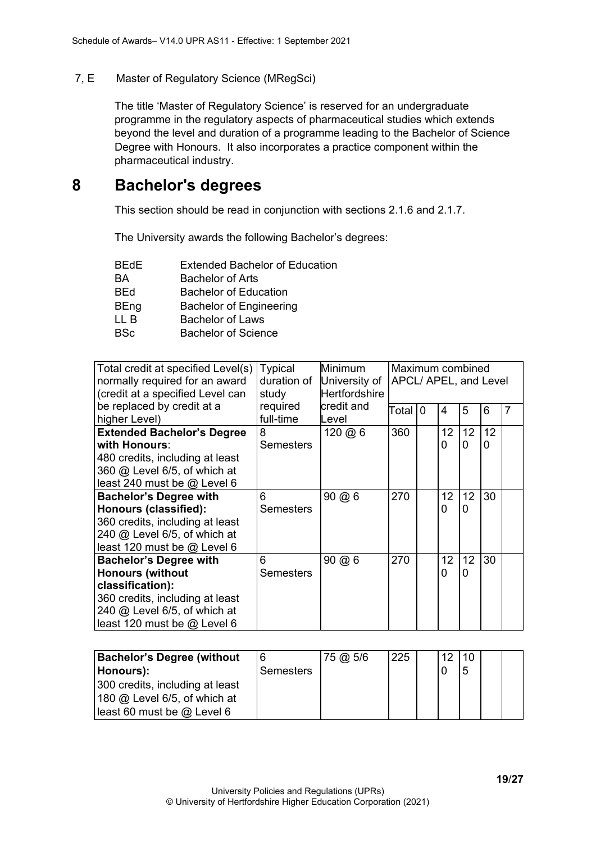#### 7, E Master of Regulatory Science (MRegSci)

The title 'Master of Regulatory Science' is reserved for an undergraduate programme in the regulatory aspects of pharmaceutical studies which extends beyond the level and duration of a programme leading to the Bachelor of Science Degree with Honours. It also incorporates a practice component within the pharmaceutical industry.

### <span id="page-18-0"></span>**8 Bachelor's degrees**

This section should be read in conjunction with sections 2.1.6 and 2.1.7.

The University awards the following Bachelor's degrees:

| <b>Extended Bachelor of Education</b> |
|---------------------------------------|
| <b>Bachelor of Arts</b>               |
| <b>Bachelor of Education</b>          |
| <b>Bachelor of Engineering</b>        |
| <b>Bachelor of Laws</b>               |
| Bachelor of Science                   |
|                                       |

| Total credit at specified Level(s)<br>normally required for an award<br>(credit at a specified Level can                                                                       | <b>Typical</b><br>duration of<br>study | <b>Minimum</b><br>University of<br><b>Hertfordshire</b> |       | Maximum combined<br>APCL/ APEL, and Level |         |                      |         |                |
|--------------------------------------------------------------------------------------------------------------------------------------------------------------------------------|----------------------------------------|---------------------------------------------------------|-------|-------------------------------------------|---------|----------------------|---------|----------------|
| be replaced by credit at a<br>higher Level)                                                                                                                                    | required<br>full-time                  | credit and<br>Level                                     | Total | <sup>0</sup>                              | 4       | 5                    | 6       | $\overline{7}$ |
| <b>Extended Bachelor's Degree</b><br>with Honours:<br>480 credits, including at least<br>360 @ Level 6/5, of which at<br>least 240 must be $@$ Level 6                         | 8<br><b>Semesters</b>                  | $120 \; \textcircled{a} 6$                              | 360   |                                           | 12<br>0 | 12<br>0              | 12<br>0 |                |
| <b>Bachelor's Degree with</b><br>Honours (classified):<br>360 credits, including at least<br>240 @ Level 6/5, of which at<br>least 120 must be $@$ Level 6                     | 6<br><b>Semesters</b>                  | $90 \ (2) \ 6$                                          | 270   |                                           | 12<br>0 | 12 <sup>2</sup><br>0 | 30      |                |
| <b>Bachelor's Degree with</b><br><b>Honours (without</b><br>classification):<br>360 credits, including at least<br>240 @ Level 6/5, of which at<br>least 120 must be @ Level 6 | 6<br><b>Semesters</b>                  | 90 @ 6                                                  | 270   |                                           | 12<br>0 | 12<br>0              | 30      |                |

| <b>Bachelor's Degree (without</b> |                  | 75 @ 5/6 | 225 | 121. | 10 |  |
|-----------------------------------|------------------|----------|-----|------|----|--|
| Honours):                         | <b>Semesters</b> |          |     |      |    |  |
| 300 credits, including at least   |                  |          |     |      |    |  |
| 180 $@$ Level 6/5, of which at    |                  |          |     |      |    |  |
| least 60 must be $@$ Level 6      |                  |          |     |      |    |  |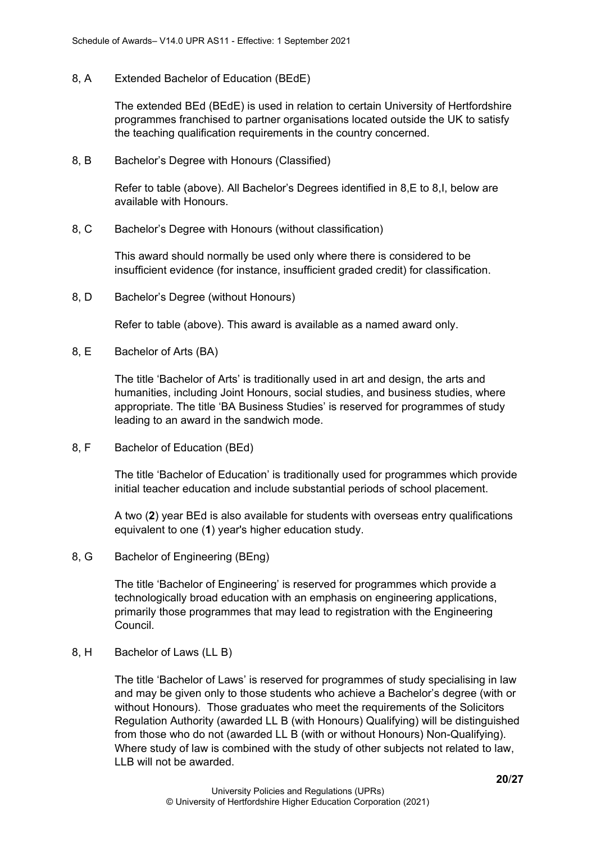#### 8, A Extended Bachelor of Education (BEdE)

The extended BEd (BEdE) is used in relation to certain University of Hertfordshire programmes franchised to partner organisations located outside the UK to satisfy the teaching qualification requirements in the country concerned.

#### 8, B Bachelor's Degree with Honours (Classified)

Refer to table (above). All Bachelor's Degrees identified in 8,E to 8,I, below are available with Honours.

#### 8, C Bachelor's Degree with Honours (without classification)

This award should normally be used only where there is considered to be insufficient evidence (for instance, insufficient graded credit) for classification.

8, D Bachelor's Degree (without Honours)

Refer to table (above). This award is available as a named award only.

8, E Bachelor of Arts (BA)

The title 'Bachelor of Arts' is traditionally used in art and design, the arts and humanities, including Joint Honours, social studies, and business studies, where appropriate. The title 'BA Business Studies' is reserved for programmes of study leading to an award in the sandwich mode.

8, F Bachelor of Education (BEd)

The title 'Bachelor of Education' is traditionally used for programmes which provide initial teacher education and include substantial periods of school placement.

A two (**2**) year BEd is also available for students with overseas entry qualifications equivalent to one (**1**) year's higher education study.

8, G Bachelor of Engineering (BEng)

The title 'Bachelor of Engineering' is reserved for programmes which provide a technologically broad education with an emphasis on engineering applications, primarily those programmes that may lead to registration with the Engineering Council.

8, H Bachelor of Laws (LL B)

The title 'Bachelor of Laws' is reserved for programmes of study specialising in law and may be given only to those students who achieve a Bachelor's degree (with or without Honours). Those graduates who meet the requirements of the Solicitors Regulation Authority (awarded LL B (with Honours) Qualifying) will be distinguished from those who do not (awarded LL B (with or without Honours) Non-Qualifying). Where study of law is combined with the study of other subjects not related to law, LLB will not be awarded.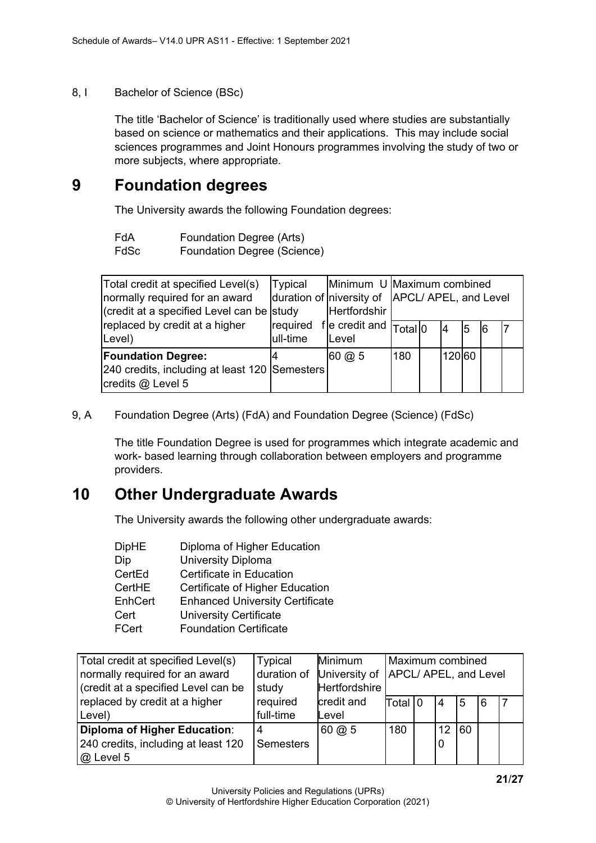#### 8, I Bachelor of Science (BSc)

The title 'Bachelor of Science' is traditionally used where studies are substantially based on science or mathematics and their applications. This may include social sciences programmes and Joint Honours programmes involving the study of two or more subjects, where appropriate.

### <span id="page-20-0"></span>**9 Foundation degrees**

The University awards the following Foundation degrees:

| FdA | Foundation Degree (Arts) |  |  |
|-----|--------------------------|--|--|
|-----|--------------------------|--|--|

FdSc Foundation Degree (Science)

| Total credit at specified Level(s)<br>normally required for an award<br>(credit at a specified Level can be study | Typical   | Hertfordshir                                                                                |     | Minimum U Maximum combined<br>duration of niversity of APCL/APEL, and Level |        |   |    |  |
|-------------------------------------------------------------------------------------------------------------------|-----------|---------------------------------------------------------------------------------------------|-----|-----------------------------------------------------------------------------|--------|---|----|--|
| replaced by credit at a higher<br>Level)                                                                          | lull-time | $\lceil$ required f e credit and $\lceil \frac{1}{\lceil} \frac{1}{\lceil} \rceil$<br>Level |     |                                                                             | 14     | 5 | 16 |  |
| <b>Foundation Degree:</b><br>240 credits, including at least 120 Semesters<br>credits @ Level 5                   |           | $60 \omega 5$                                                                               | 180 |                                                                             | 120 60 |   |    |  |

#### 9, A Foundation Degree (Arts) (FdA) and Foundation Degree (Science) (FdSc)

The title Foundation Degree is used for programmes which integrate academic and work- based learning through collaboration between employers and programme providers.

### <span id="page-20-1"></span>**10 Other Undergraduate Awards**

The University awards the following other undergraduate awards:

| <b>DipHE</b> | Diploma of Higher Education            |
|--------------|----------------------------------------|
| Dip          | <b>University Diploma</b>              |
| CertEd       | Certificate in Education               |
| CertHE       | Certificate of Higher Education        |
| EnhCert      | <b>Enhanced University Certificate</b> |
| Cert         | <b>University Certificate</b>          |
| <b>FCert</b> | <b>Foundation Certificate</b>          |

| Total credit at specified Level(s)  | Typical          | Minimum                   | Maximum combined |                                       |                 |    |   |  |
|-------------------------------------|------------------|---------------------------|------------------|---------------------------------------|-----------------|----|---|--|
| normally required for an award      | duration of      |                           |                  | University of   APCL/ APEL, and Level |                 |    |   |  |
| (credit at a specified Level can be | study            | Hertfordshire             |                  |                                       |                 |    |   |  |
| replaced by credit at a higher      | required         | credit and                | Total I0         |                                       | 4               | 5  | 6 |  |
| Level)                              | full-time        | Level                     |                  |                                       |                 |    |   |  |
| <b>Diploma of Higher Education:</b> | 4                | $60 \; \textcircled{a} 5$ | 180              |                                       | 12 <sup>2</sup> | 60 |   |  |
| 240 credits, including at least 120 | <b>Semesters</b> |                           |                  |                                       | 0               |    |   |  |
| $@$ Level 5                         |                  |                           |                  |                                       |                 |    |   |  |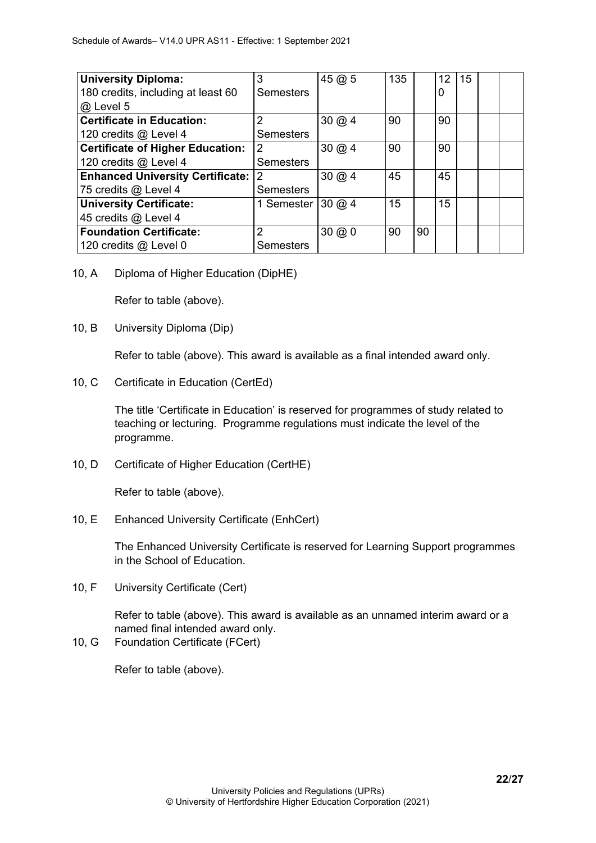| <b>University Diploma:</b>              | 3                 | 45@5         | 135 |    | 12 <sup>1</sup> | 15 |  |
|-----------------------------------------|-------------------|--------------|-----|----|-----------------|----|--|
| 180 credits, including at least 60      | <b>Semesters</b>  |              |     |    | 0               |    |  |
| @ Level 5                               |                   |              |     |    |                 |    |  |
| <b>Certificate in Education:</b>        | $\overline{2}$    | $30 \ (a) 4$ | 90  |    | 90              |    |  |
| 120 credits @ Level 4                   | <b>Semesters</b>  |              |     |    |                 |    |  |
| <b>Certificate of Higher Education:</b> | 2                 | $30 \ (a) 4$ | 90  |    | 90              |    |  |
| 120 credits @ Level 4                   | <b>Semesters</b>  |              |     |    |                 |    |  |
| <b>Enhanced University Certificate:</b> | <u>2</u>          | $30 \ (a) 4$ | 45  |    | 45              |    |  |
| 75 credits @ Level 4                    | <b>Semesters</b>  |              |     |    |                 |    |  |
| <b>University Certificate:</b>          | 1 Semester 30 @ 4 |              | 15  |    | 15              |    |  |
| 45 credits @ Level 4                    |                   |              |     |    |                 |    |  |
| <b>Foundation Certificate:</b>          | 2                 | $30 \ (a) 0$ | 90  | 90 |                 |    |  |
| 120 credits @ Level 0                   | Semesters         |              |     |    |                 |    |  |

10, A Diploma of Higher Education (DipHE)

Refer to table (above).

10, B University Diploma (Dip)

Refer to table (above). This award is available as a final intended award only.

10, C Certificate in Education (CertEd)

The title 'Certificate in Education' is reserved for programmes of study related to teaching or lecturing. Programme regulations must indicate the level of the programme.

10, D Certificate of Higher Education (CertHE)

Refer to table (above).

10, E Enhanced University Certificate (EnhCert)

The Enhanced University Certificate is reserved for Learning Support programmes in the School of Education.

10, F University Certificate (Cert)

Refer to table (above). This award is available as an unnamed interim award or a named final intended award only.

10, G Foundation Certificate (FCert)

Refer to table (above).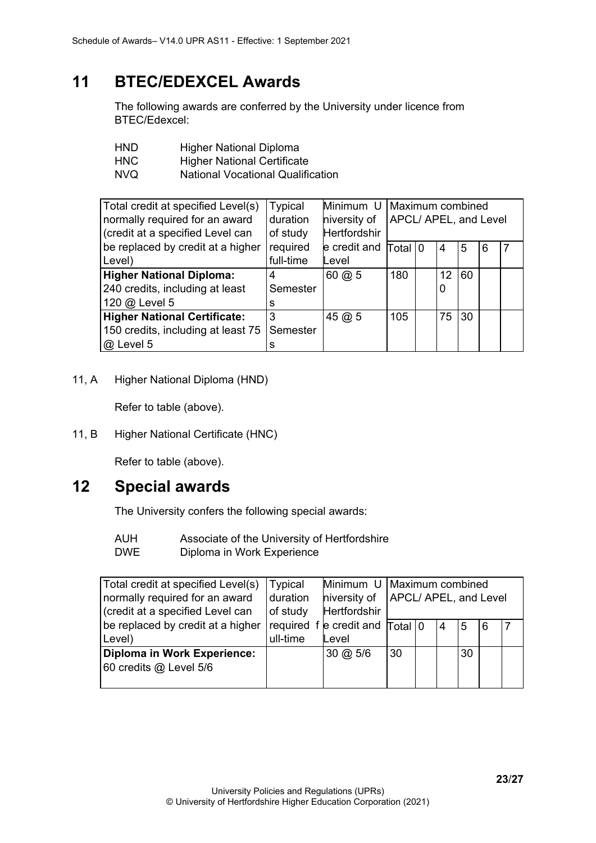# <span id="page-22-0"></span>**11 BTEC/EDEXCEL Awards**

The following awards are conferred by the University under licence from BTEC/Edexcel:

| <b>HND</b> | <b>Higher National Diploma</b>           |
|------------|------------------------------------------|
| <b>HNC</b> | <b>Higher National Certificate</b>       |
| NVQ.       | <b>National Vocational Qualification</b> |

| Total credit at specified Level(s)<br>normally required for an award<br>(credit at a specified Level can | <b>Typical</b><br>duration<br>of study | Minimum U<br>niversity of<br><b>Hertfordshir</b> | Maximum combined<br>APCL/ APEL, and Level |  |         |    |   |  |
|----------------------------------------------------------------------------------------------------------|----------------------------------------|--------------------------------------------------|-------------------------------------------|--|---------|----|---|--|
| be replaced by credit at a higher<br>Level)                                                              | required<br>full-time                  | e credit and<br>Level                            | Total 10                                  |  | 4       | 5  | 6 |  |
| <b>Higher National Diploma:</b><br>240 credits, including at least<br>120 @ Level 5                      | 4<br>Semester<br>s                     | $60 \; \textcircled{a} 5$                        | 180                                       |  | 12<br>0 | 60 |   |  |
| <b>Higher National Certificate:</b><br>150 credits, including at least 75<br>@ Level 5                   | 3<br>Semester                          | 45@5                                             | 105                                       |  | 75      | 30 |   |  |

11, A Higher National Diploma (HND)

Refer to table (above).

11, B Higher National Certificate (HNC)

Refer to table (above).

### <span id="page-22-1"></span>**12 Special awards**

The University confers the following special awards:

- AUH Associate of the University of Hertfordshire
- DWE Diploma in Work Experience

| Total credit at specified Level(s) | <b>Typical</b> |                                                    | Minimum U   Maximum combined         |  |                |    |   |  |
|------------------------------------|----------------|----------------------------------------------------|--------------------------------------|--|----------------|----|---|--|
| normally required for an award     | duration       |                                                    | hiversity of   APCL/ APEL, and Level |  |                |    |   |  |
| (credit at a specified Level can   | of study       | <b>Hertfordshir</b>                                |                                      |  |                |    |   |  |
| be replaced by credit at a higher  |                | required $f$ e credit and $T$ otal $\vert 0 \vert$ |                                      |  | $\overline{4}$ | 5  | 6 |  |
| Level)                             | ull-time       | Level                                              |                                      |  |                |    |   |  |
| Diploma in Work Experience:        |                | $30 \; \text{\o}$ 5/6                              | 30                                   |  |                | 30 |   |  |
| 60 credits @ Level 5/6             |                |                                                    |                                      |  |                |    |   |  |
|                                    |                |                                                    |                                      |  |                |    |   |  |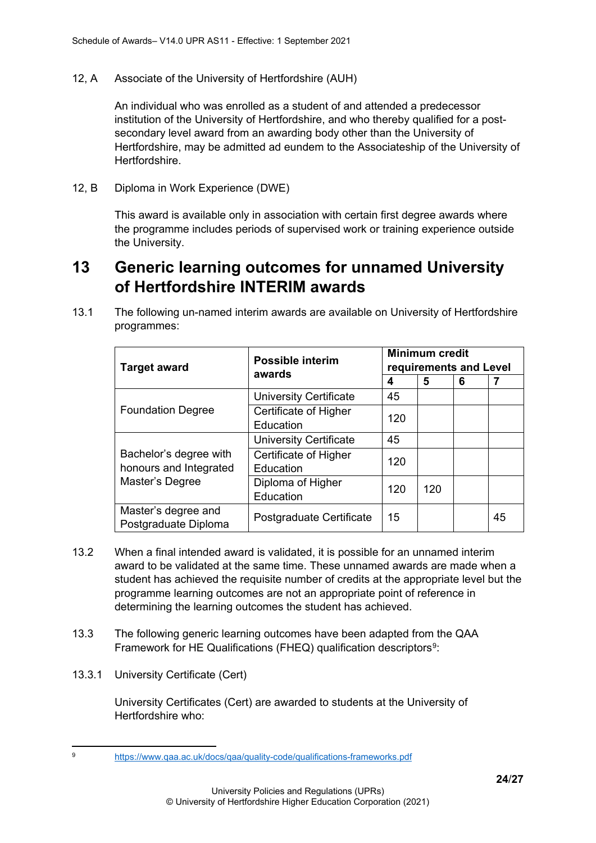12, A Associate of the University of Hertfordshire (AUH)

An individual who was enrolled as a student of and attended a predecessor institution of the University of Hertfordshire, and who thereby qualified for a postsecondary level award from an awarding body other than the University of Hertfordshire, may be admitted ad eundem to the Associateship of the University of Hertfordshire.

12, B Diploma in Work Experience (DWE)

This award is available only in association with certain first degree awards where the programme includes periods of supervised work or training experience outside the University.

# <span id="page-23-0"></span>**13 Generic learning outcomes for unnamed University of Hertfordshire INTERIM awards**

13.1 The following un-named interim awards are available on University of Hertfordshire programmes:

| <b>Target award</b>                                                 | <b>Possible interim</b><br>awards  | <b>Minimum credit</b><br>requirements and Level |     |   |    |  |  |
|---------------------------------------------------------------------|------------------------------------|-------------------------------------------------|-----|---|----|--|--|
|                                                                     |                                    | 4                                               | 5   | 6 |    |  |  |
| <b>Foundation Degree</b>                                            | <b>University Certificate</b>      | 45                                              |     |   |    |  |  |
|                                                                     | Certificate of Higher<br>Education | 120                                             |     |   |    |  |  |
| Bachelor's degree with<br>honours and Integrated<br>Master's Degree | <b>University Certificate</b>      | 45                                              |     |   |    |  |  |
|                                                                     | Certificate of Higher<br>Education | 120                                             |     |   |    |  |  |
|                                                                     | Diploma of Higher<br>Education     | 120                                             | 120 |   |    |  |  |
| Master's degree and<br>Postgraduate Diploma                         | Postgraduate Certificate           | 15                                              |     |   | 45 |  |  |

- 13.2 When a final intended award is validated, it is possible for an unnamed interim award to be validated at the same time. These unnamed awards are made when a student has achieved the requisite number of credits at the appropriate level but the programme learning outcomes are not an appropriate point of reference in determining the learning outcomes the student has achieved.
- 13.3 The following generic learning outcomes have been adapted from the QAA Framework for HE Qualifications (FHEQ) qualification descriptors<sup>[9](#page-23-1)</sup>:
- 13.3.1 University Certificate (Cert)

University Certificates (Cert) are awarded to students at the University of Hertfordshire who:

<span id="page-23-1"></span><sup>9</sup> <https://www.qaa.ac.uk/docs/qaa/quality-code/qualifications-frameworks.pdf>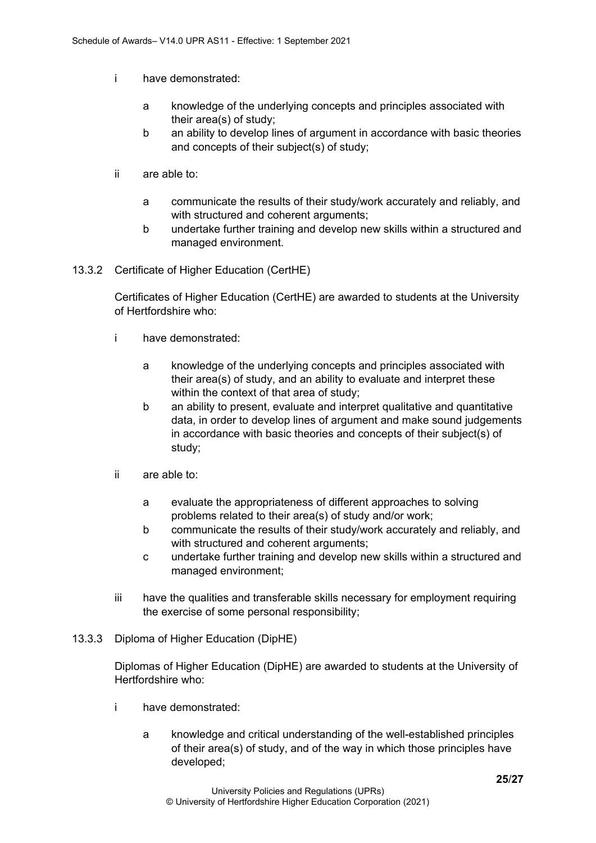- i have demonstrated:
	- a knowledge of the underlying concepts and principles associated with their area(s) of study;
	- b an ability to develop lines of argument in accordance with basic theories and concepts of their subject(s) of study;
- ii are able to:
	- a communicate the results of their study/work accurately and reliably, and with structured and coherent arguments;
	- b undertake further training and develop new skills within a structured and managed environment.
- 13.3.2 Certificate of Higher Education (CertHE)

Certificates of Higher Education (CertHE) are awarded to students at the University of Hertfordshire who:

- i have demonstrated:
	- a knowledge of the underlying concepts and principles associated with their area(s) of study, and an ability to evaluate and interpret these within the context of that area of study;
	- b an ability to present, evaluate and interpret qualitative and quantitative data, in order to develop lines of argument and make sound judgements in accordance with basic theories and concepts of their subject(s) of study;
- ii are able to:
	- a evaluate the appropriateness of different approaches to solving problems related to their area(s) of study and/or work;
	- b communicate the results of their study/work accurately and reliably, and with structured and coherent arguments;
	- c undertake further training and develop new skills within a structured and managed environment;
- iii have the qualities and transferable skills necessary for employment requiring the exercise of some personal responsibility;
- 13.3.3 Diploma of Higher Education (DipHE)

Diplomas of Higher Education (DipHE) are awarded to students at the University of Hertfordshire who:

- i have demonstrated:
	- a knowledge and critical understanding of the well-established principles of their area(s) of study, and of the way in which those principles have developed;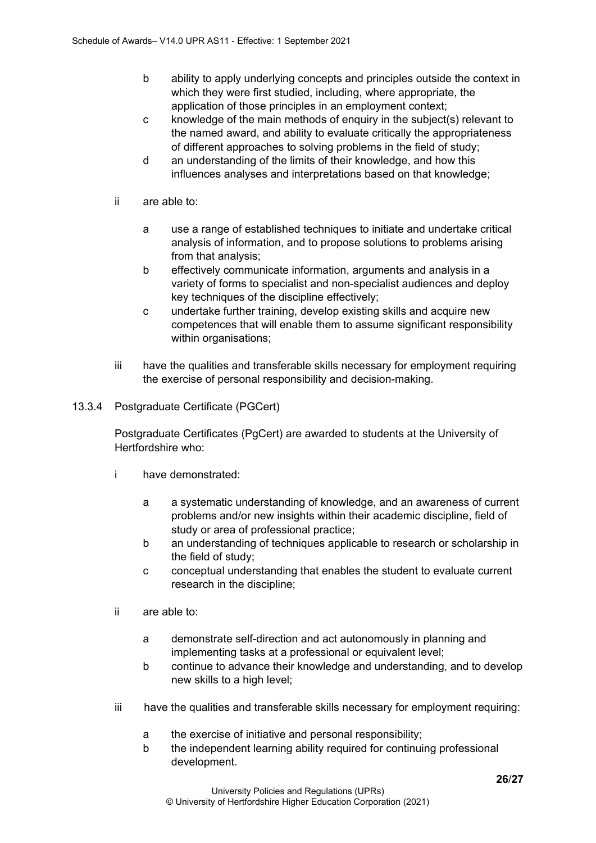- b ability to apply underlying concepts and principles outside the context in which they were first studied, including, where appropriate, the application of those principles in an employment context;
- c knowledge of the main methods of enquiry in the subject(s) relevant to the named award, and ability to evaluate critically the appropriateness of different approaches to solving problems in the field of study;
- d an understanding of the limits of their knowledge, and how this influences analyses and interpretations based on that knowledge;
- ii are able to:
	- a use a range of established techniques to initiate and undertake critical analysis of information, and to propose solutions to problems arising from that analysis;
	- b effectively communicate information, arguments and analysis in a variety of forms to specialist and non-specialist audiences and deploy key techniques of the discipline effectively;
	- c undertake further training, develop existing skills and acquire new competences that will enable them to assume significant responsibility within organisations;
- iii have the qualities and transferable skills necessary for employment requiring the exercise of personal responsibility and decision-making.
- 13.3.4 Postgraduate Certificate (PGCert)

Postgraduate Certificates (PgCert) are awarded to students at the University of Hertfordshire who:

- i have demonstrated:
	- a a systematic understanding of knowledge, and an awareness of current problems and/or new insights within their academic discipline, field of study or area of professional practice;
	- b an understanding of techniques applicable to research or scholarship in the field of study;
	- c conceptual understanding that enables the student to evaluate current research in the discipline;
- ii are able to:
	- a demonstrate self-direction and act autonomously in planning and implementing tasks at a professional or equivalent level:
	- b continue to advance their knowledge and understanding, and to develop new skills to a high level;
- iii have the qualities and transferable skills necessary for employment requiring:
	- a the exercise of initiative and personal responsibility;
	- b the independent learning ability required for continuing professional development.